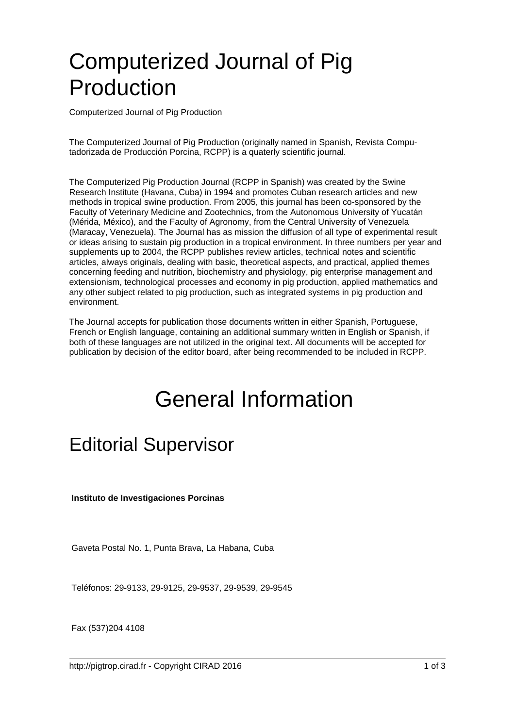# Computerized Journal of Pig Production

Computerized Journal of Pig Production

The Computerized Journal of Pig Production (originally named in Spanish, Revista Computadorizada de Producción Porcina, RCPP) is a quaterly scientific journal.

The Computerized Pig Production Journal (RCPP in Spanish) was created by the Swine Research Institute (Havana, Cuba) in 1994 and promotes Cuban research articles and new methods in tropical swine production. From 2005, this journal has been co-sponsored by the Faculty of Veterinary Medicine and Zootechnics, from the Autonomous University of Yucatán (Mérida, México), and the Faculty of Agronomy, from the Central University of Venezuela (Maracay, Venezuela). The Journal has as mission the diffusion of all type of experimental result or ideas arising to sustain pig production in a tropical environment. In three numbers per year and supplements up to 2004, the RCPP publishes review articles, technical notes and scientific articles, always originals, dealing with basic, theoretical aspects, and practical, applied themes concerning feeding and nutrition, biochemistry and physiology, pig enterprise management and extensionism, technological processes and economy in pig production, applied mathematics and any other subject related to pig production, such as integrated systems in pig production and environment.

The Journal accepts for publication those documents written in either Spanish, Portuguese, French or English language, containing an additional summary written in English or Spanish, if both of these languages are not utilized in the original text. All documents will be accepted for publication by decision of the editor board, after being recommended to be included in RCPP.

## General Information

### Editorial Supervisor

 **Instituto de Investigaciones Porcinas**

Gaveta Postal No. 1, Punta Brava, La Habana, Cuba

Teléfonos: 29-9133, 29-9125, 29-9537, 29-9539, 29-9545

Fax (537)204 4108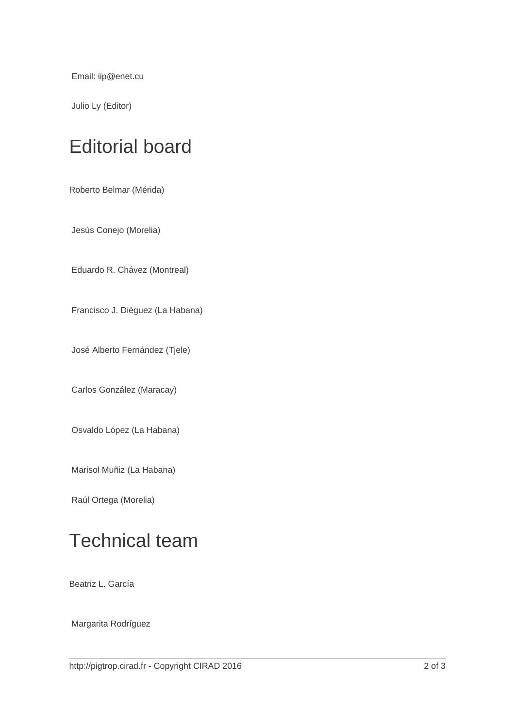Email: iip@enet.cu

Julio Ly (Editor)

### Editorial board

Roberto Belmar (Mérida)

Jesús Conejo (Morelia)

Eduardo R. Chávez (Montreal)

Francisco J. Diéguez (La Habana)

José Alberto Fernández (Tjele)

Carlos González (Maracay)

Osvaldo López (La Habana)

Marisol Muñiz (La Habana)

Raúl Ortega (Morelia)

### Technical team

Beatriz L. García

Margarita Rodríguez